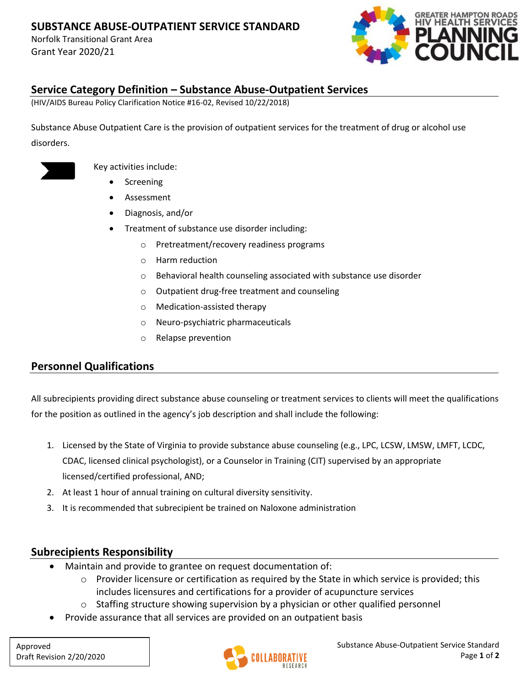Norfolk Transitional Grant Area Grant Year 2020/21



### **Service Category Definition – Substance Abuse-Outpatient Services**

(HIV/AIDS Bureau Policy Clarification Notice #16-02, Revised 10/22/2018)

Substance Abuse Outpatient Care is the provision of outpatient services for the treatment of drug or alcohol use disorders.



Key activities include:

- **Screening**
- Assessment
- Diagnosis, and/or
- Treatment of substance use disorder including:
	- o Pretreatment/recovery readiness programs
	- o Harm reduction
	- o Behavioral health counseling associated with substance use disorder
	- o Outpatient drug-free treatment and counseling
	- o Medication-assisted therapy
	- o Neuro-psychiatric pharmaceuticals
	- o Relapse prevention

# **Personnel Qualifications**

All subrecipients providing direct substance abuse counseling or treatment services to clients will meet the qualifications for the position as outlined in the agency's job description and shall include the following:

- 1. Licensed by the State of Virginia to provide substance abuse counseling (e.g., LPC, LCSW, LMSW, LMFT, LCDC, CDAC, licensed clinical psychologist), or a Counselor in Training (CIT) supervised by an appropriate licensed/certified professional, AND;
- 2. At least 1 hour of annual training on cultural diversity sensitivity.
- 3. It is recommended that subrecipient be trained on Naloxone administration

### **Subrecipients Responsibility**

- Maintain and provide to grantee on request documentation of:
	- $\circ$  Provider licensure or certification as required by the State in which service is provided; this includes licensures and certifications for a provider of acupuncture services
	- $\circ$  Staffing structure showing supervision by a physician or other qualified personnel
- Provide assurance that all services are provided on an outpatient basis

Approved Draft Revision 2/20/2020